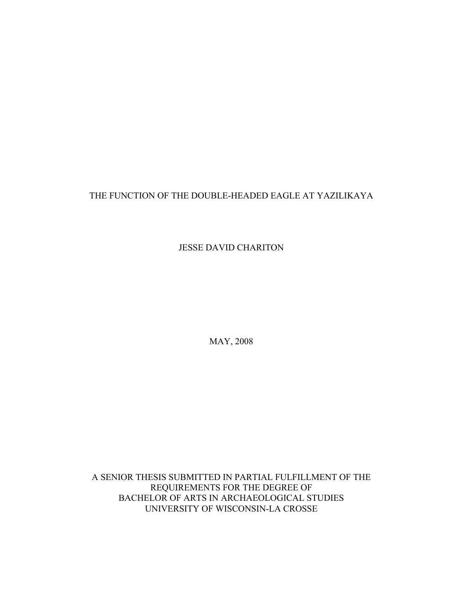# THE FUNCTION OF THE DOUBLE-HEADED EAGLE AT YAZILIKAYA

JESSE DAVID CHARITON

MAY, 2008

A SENIOR THESIS SUBMITTED IN PARTIAL FULFILLMENT OF THE REQUIREMENTS FOR THE DEGREE OF BACHELOR OF ARTS IN ARCHAEOLOGICAL STUDIES UNIVERSITY OF WISCONSIN-LA CROSSE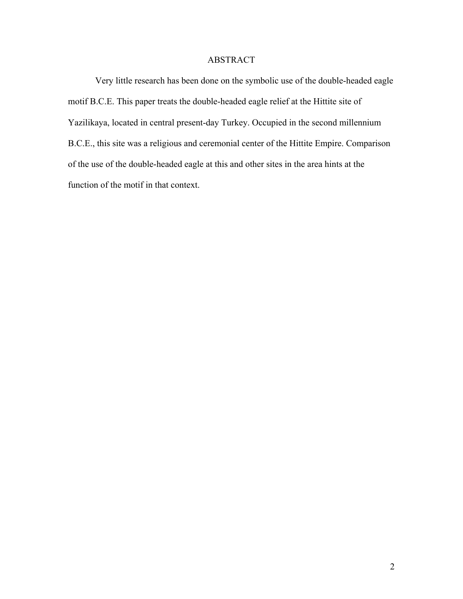# ABSTRACT

 Very little research has been done on the symbolic use of the double-headed eagle motif B.C.E. This paper treats the double-headed eagle relief at the Hittite site of Yazilikaya, located in central present-day Turkey. Occupied in the second millennium B.C.E., this site was a religious and ceremonial center of the Hittite Empire. Comparison of the use of the double-headed eagle at this and other sites in the area hints at the function of the motif in that context.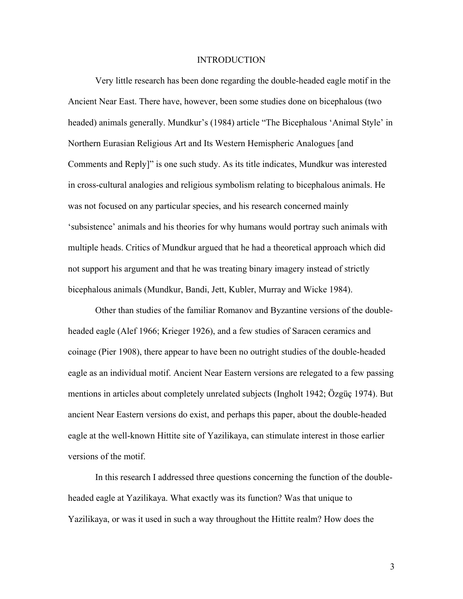#### INTRODUCTION

 Very little research has been done regarding the double-headed eagle motif in the Ancient Near East. There have, however, been some studies done on bicephalous (two headed) animals generally. Mundkur's (1984) article "The Bicephalous 'Animal Style' in Northern Eurasian Religious Art and Its Western Hemispheric Analogues [and Comments and Reply]" is one such study. As its title indicates, Mundkur was interested in cross-cultural analogies and religious symbolism relating to bicephalous animals. He was not focused on any particular species, and his research concerned mainly 'subsistence' animals and his theories for why humans would portray such animals with multiple heads. Critics of Mundkur argued that he had a theoretical approach which did not support his argument and that he was treating binary imagery instead of strictly bicephalous animals (Mundkur, Bandi, Jett, Kubler, Murray and Wicke 1984).

 Other than studies of the familiar Romanov and Byzantine versions of the doubleheaded eagle (Alef 1966; Krieger 1926), and a few studies of Saracen ceramics and coinage (Pier 1908), there appear to have been no outright studies of the double-headed eagle as an individual motif. Ancient Near Eastern versions are relegated to a few passing mentions in articles about completely unrelated subjects (Ingholt 1942; Özgüç 1974). But ancient Near Eastern versions do exist, and perhaps this paper, about the double-headed eagle at the well-known Hittite site of Yazilikaya, can stimulate interest in those earlier versions of the motif.

In this research I addressed three questions concerning the function of the doubleheaded eagle at Yazilikaya. What exactly was its function? Was that unique to Yazilikaya, or was it used in such a way throughout the Hittite realm? How does the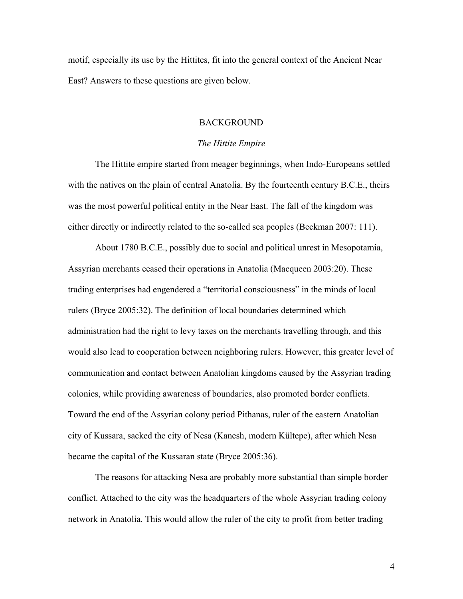motif, especially its use by the Hittites, fit into the general context of the Ancient Near East? Answers to these questions are given below.

### BACKGROUND

#### *The Hittite Empire*

The Hittite empire started from meager beginnings, when Indo-Europeans settled with the natives on the plain of central Anatolia. By the fourteenth century B.C.E., theirs was the most powerful political entity in the Near East. The fall of the kingdom was either directly or indirectly related to the so-called sea peoples (Beckman 2007: 111).

About 1780 B.C.E., possibly due to social and political unrest in Mesopotamia, Assyrian merchants ceased their operations in Anatolia (Macqueen 2003:20). These trading enterprises had engendered a "territorial consciousness" in the minds of local rulers (Bryce 2005:32). The definition of local boundaries determined which administration had the right to levy taxes on the merchants travelling through, and this would also lead to cooperation between neighboring rulers. However, this greater level of communication and contact between Anatolian kingdoms caused by the Assyrian trading colonies, while providing awareness of boundaries, also promoted border conflicts. Toward the end of the Assyrian colony period Pithanas, ruler of the eastern Anatolian city of Kussara, sacked the city of Nesa (Kanesh, modern Kültepe), after which Nesa became the capital of the Kussaran state (Bryce 2005:36).

The reasons for attacking Nesa are probably more substantial than simple border conflict. Attached to the city was the headquarters of the whole Assyrian trading colony network in Anatolia. This would allow the ruler of the city to profit from better trading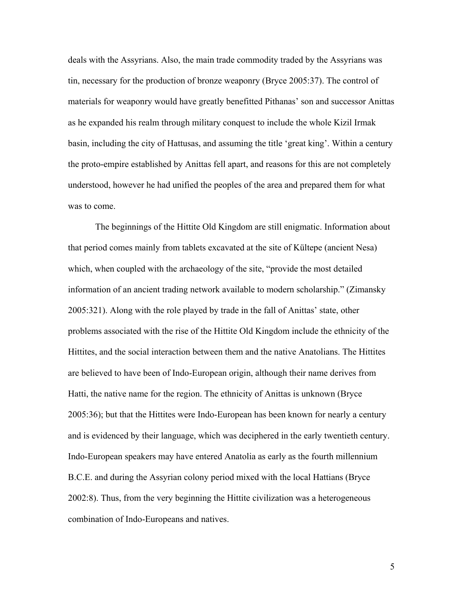deals with the Assyrians. Also, the main trade commodity traded by the Assyrians was tin, necessary for the production of bronze weaponry (Bryce 2005:37). The control of materials for weaponry would have greatly benefitted Pithanas' son and successor Anittas as he expanded his realm through military conquest to include the whole Kizil Irmak basin, including the city of Hattusas, and assuming the title 'great king'. Within a century the proto-empire established by Anittas fell apart, and reasons for this are not completely understood, however he had unified the peoples of the area and prepared them for what was to come.

The beginnings of the Hittite Old Kingdom are still enigmatic. Information about that period comes mainly from tablets excavated at the site of Kültepe (ancient Nesa) which, when coupled with the archaeology of the site, "provide the most detailed information of an ancient trading network available to modern scholarship." (Zimansky 2005:321). Along with the role played by trade in the fall of Anittas' state, other problems associated with the rise of the Hittite Old Kingdom include the ethnicity of the Hittites, and the social interaction between them and the native Anatolians. The Hittites are believed to have been of Indo-European origin, although their name derives from Hatti, the native name for the region. The ethnicity of Anittas is unknown (Bryce 2005:36); but that the Hittites were Indo-European has been known for nearly a century and is evidenced by their language, which was deciphered in the early twentieth century. Indo-European speakers may have entered Anatolia as early as the fourth millennium B.C.E. and during the Assyrian colony period mixed with the local Hattians (Bryce 2002:8). Thus, from the very beginning the Hittite civilization was a heterogeneous combination of Indo-Europeans and natives.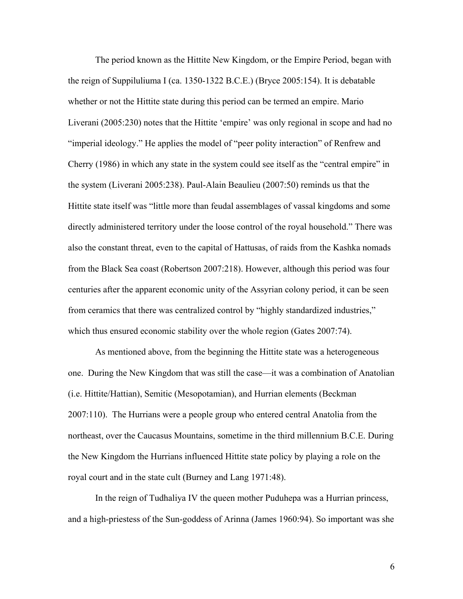The period known as the Hittite New Kingdom, or the Empire Period, began with the reign of Suppiluliuma I (ca. 1350-1322 B.C.E.) (Bryce 2005:154). It is debatable whether or not the Hittite state during this period can be termed an empire. Mario Liverani (2005:230) notes that the Hittite 'empire' was only regional in scope and had no "imperial ideology." He applies the model of "peer polity interaction" of Renfrew and Cherry (1986) in which any state in the system could see itself as the "central empire" in the system (Liverani 2005:238). Paul-Alain Beaulieu (2007:50) reminds us that the Hittite state itself was "little more than feudal assemblages of vassal kingdoms and some directly administered territory under the loose control of the royal household." There was also the constant threat, even to the capital of Hattusas, of raids from the Kashka nomads from the Black Sea coast (Robertson 2007:218). However, although this period was four centuries after the apparent economic unity of the Assyrian colony period, it can be seen from ceramics that there was centralized control by "highly standardized industries," which thus ensured economic stability over the whole region (Gates 2007:74).

 As mentioned above, from the beginning the Hittite state was a heterogeneous one. During the New Kingdom that was still the case—it was a combination of Anatolian (i.e. Hittite/Hattian), Semitic (Mesopotamian), and Hurrian elements (Beckman 2007:110). The Hurrians were a people group who entered central Anatolia from the northeast, over the Caucasus Mountains, sometime in the third millennium B.C.E. During the New Kingdom the Hurrians influenced Hittite state policy by playing a role on the royal court and in the state cult (Burney and Lang 1971:48).

 In the reign of Tudhaliya IV the queen mother Puduhepa was a Hurrian princess, and a high-priestess of the Sun-goddess of Arinna (James 1960:94). So important was she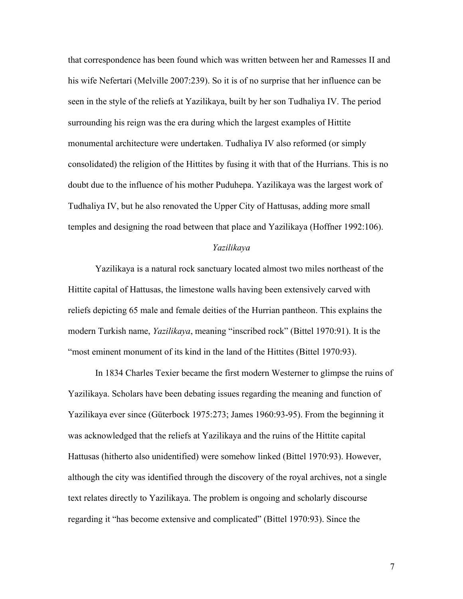that correspondence has been found which was written between her and Ramesses II and his wife Nefertari (Melville 2007:239). So it is of no surprise that her influence can be seen in the style of the reliefs at Yazilikaya, built by her son Tudhaliya IV. The period surrounding his reign was the era during which the largest examples of Hittite monumental architecture were undertaken. Tudhaliya IV also reformed (or simply consolidated) the religion of the Hittites by fusing it with that of the Hurrians. This is no doubt due to the influence of his mother Puduhepa. Yazilikaya was the largest work of Tudhaliya IV, but he also renovated the Upper City of Hattusas, adding more small temples and designing the road between that place and Yazilikaya (Hoffner 1992:106).

### *Yazilikaya*

 Yazilikaya is a natural rock sanctuary located almost two miles northeast of the Hittite capital of Hattusas, the limestone walls having been extensively carved with reliefs depicting 65 male and female deities of the Hurrian pantheon. This explains the modern Turkish name, *Yazilikaya*, meaning "inscribed rock" (Bittel 1970:91). It is the "most eminent monument of its kind in the land of the Hittites (Bittel 1970:93).

In 1834 Charles Texier became the first modern Westerner to glimpse the ruins of Yazilikaya. Scholars have been debating issues regarding the meaning and function of Yazilikaya ever since (Güterbock 1975:273; James 1960:93-95). From the beginning it was acknowledged that the reliefs at Yazilikaya and the ruins of the Hittite capital Hattusas (hitherto also unidentified) were somehow linked (Bittel 1970:93). However, although the city was identified through the discovery of the royal archives, not a single text relates directly to Yazilikaya. The problem is ongoing and scholarly discourse regarding it "has become extensive and complicated" (Bittel 1970:93). Since the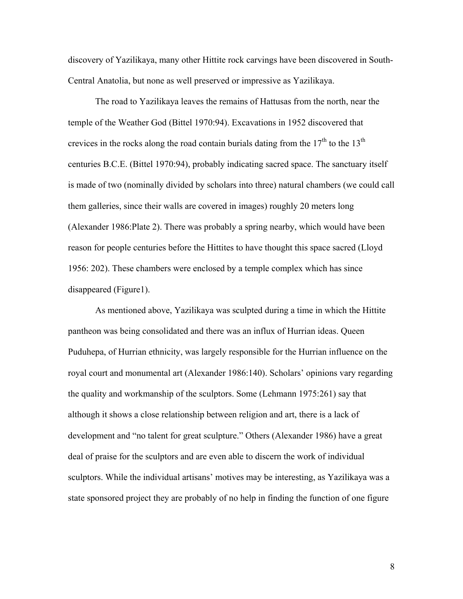discovery of Yazilikaya, many other Hittite rock carvings have been discovered in South-Central Anatolia, but none as well preserved or impressive as Yazilikaya.

The road to Yazilikaya leaves the remains of Hattusas from the north, near the temple of the Weather God (Bittel 1970:94). Excavations in 1952 discovered that crevices in the rocks along the road contain burials dating from the  $17<sup>th</sup>$  to the  $13<sup>th</sup>$ centuries B.C.E. (Bittel 1970:94), probably indicating sacred space. The sanctuary itself is made of two (nominally divided by scholars into three) natural chambers (we could call them galleries, since their walls are covered in images) roughly 20 meters long (Alexander 1986:Plate 2). There was probably a spring nearby, which would have been reason for people centuries before the Hittites to have thought this space sacred (Lloyd 1956: 202). These chambers were enclosed by a temple complex which has since disappeared (Figure1).

As mentioned above, Yazilikaya was sculpted during a time in which the Hittite pantheon was being consolidated and there was an influx of Hurrian ideas. Queen Puduhepa, of Hurrian ethnicity, was largely responsible for the Hurrian influence on the royal court and monumental art (Alexander 1986:140). Scholars' opinions vary regarding the quality and workmanship of the sculptors. Some (Lehmann 1975:261) say that although it shows a close relationship between religion and art, there is a lack of development and "no talent for great sculpture." Others (Alexander 1986) have a great deal of praise for the sculptors and are even able to discern the work of individual sculptors. While the individual artisans' motives may be interesting, as Yazilikaya was a state sponsored project they are probably of no help in finding the function of one figure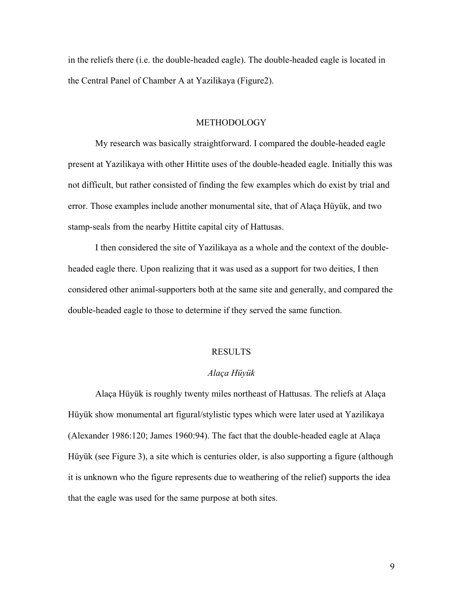in the reliefs there (i.e. the double-headed eagle). The double-headed eagle is located in the Central Panel of Chamber A at Yazilikaya (Figure2).

### METHODOLOGY

 My research was basically straightforward. I compared the double-headed eagle present at Yazilikaya with other Hittite uses of the double-headed eagle. Initially this was not difficult, but rather consisted of finding the few examples which do exist by trial and error. Those examples include another monumental site, that of Alaça Hüyük, and two stamp-seals from the nearby Hittite capital city of Hattusas.

 I then considered the site of Yazilikaya as a whole and the context of the doubleheaded eagle there. Upon realizing that it was used as a support for two deities, I then considered other animal-supporters both at the same site and generally, and compared the double-headed eagle to those to determine if they served the same function.

#### RESULTS

#### *Alaça Hüyük*

Alaça Hüyük is roughly twenty miles northeast of Hattusas. The reliefs at Alaça Hüyük show monumental art figural/stylistic types which were later used at Yazilikaya (Alexander 1986:120; James 1960:94). The fact that the double-headed eagle at Alaça Hüyük (see Figure 3), a site which is centuries older, is also supporting a figure (although it is unknown who the figure represents due to weathering of the relief) supports the idea that the eagle was used for the same purpose at both sites.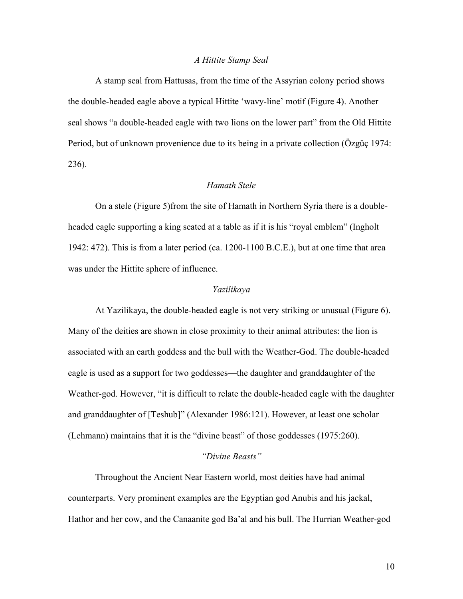### *A Hittite Stamp Seal*

 A stamp seal from Hattusas, from the time of the Assyrian colony period shows the double-headed eagle above a typical Hittite 'wavy-line' motif (Figure 4). Another seal shows "a double-headed eagle with two lions on the lower part" from the Old Hittite Period, but of unknown provenience due to its being in a private collection (Özgüç 1974: 236).

### *Hamath Stele*

 On a stele (Figure 5)from the site of Hamath in Northern Syria there is a doubleheaded eagle supporting a king seated at a table as if it is his "royal emblem" (Ingholt 1942: 472). This is from a later period (ca. 1200-1100 B.C.E.), but at one time that area was under the Hittite sphere of influence.

#### *Yazilikaya*

At Yazilikaya, the double-headed eagle is not very striking or unusual (Figure 6). Many of the deities are shown in close proximity to their animal attributes: the lion is associated with an earth goddess and the bull with the Weather-God. The double-headed eagle is used as a support for two goddesses—the daughter and granddaughter of the Weather-god. However, "it is difficult to relate the double-headed eagle with the daughter and granddaughter of [Teshub]" (Alexander 1986:121). However, at least one scholar (Lehmann) maintains that it is the "divine beast" of those goddesses (1975:260).

# *"Divine Beasts"*

 Throughout the Ancient Near Eastern world, most deities have had animal counterparts. Very prominent examples are the Egyptian god Anubis and his jackal, Hathor and her cow, and the Canaanite god Ba'al and his bull. The Hurrian Weather-god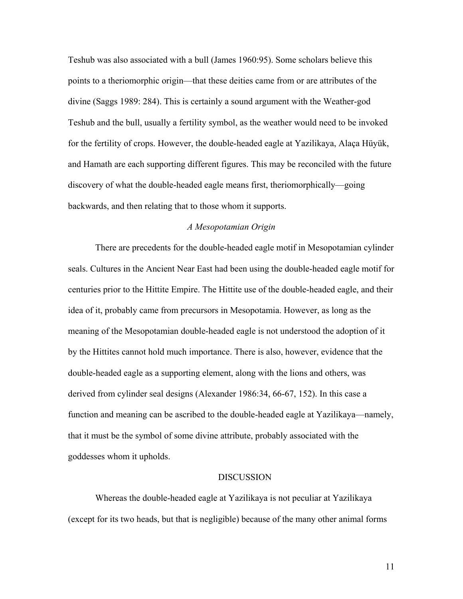Teshub was also associated with a bull (James 1960:95). Some scholars believe this points to a theriomorphic origin—that these deities came from or are attributes of the divine (Saggs 1989: 284). This is certainly a sound argument with the Weather-god Teshub and the bull, usually a fertility symbol, as the weather would need to be invoked for the fertility of crops. However, the double-headed eagle at Yazilikaya, Alaça Hüyük, and Hamath are each supporting different figures. This may be reconciled with the future discovery of what the double-headed eagle means first, theriomorphically—going backwards, and then relating that to those whom it supports.

# *A Mesopotamian Origin*

There are precedents for the double-headed eagle motif in Mesopotamian cylinder seals. Cultures in the Ancient Near East had been using the double-headed eagle motif for centuries prior to the Hittite Empire. The Hittite use of the double-headed eagle, and their idea of it, probably came from precursors in Mesopotamia. However, as long as the meaning of the Mesopotamian double-headed eagle is not understood the adoption of it by the Hittites cannot hold much importance. There is also, however, evidence that the double-headed eagle as a supporting element, along with the lions and others, was derived from cylinder seal designs (Alexander 1986:34, 66-67, 152). In this case a function and meaning can be ascribed to the double-headed eagle at Yazilikaya—namely, that it must be the symbol of some divine attribute, probably associated with the goddesses whom it upholds.

#### DISCUSSION

 Whereas the double-headed eagle at Yazilikaya is not peculiar at Yazilikaya (except for its two heads, but that is negligible) because of the many other animal forms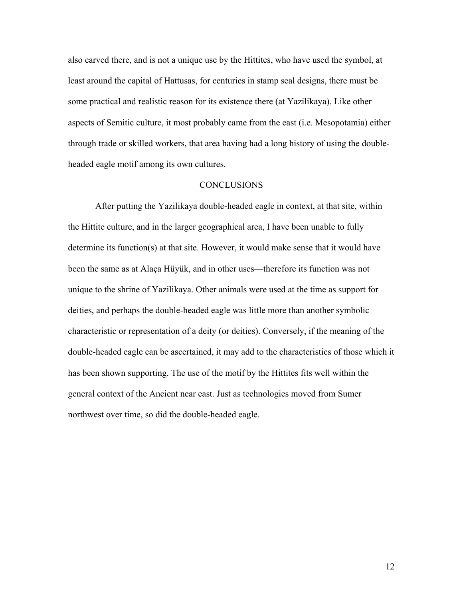also carved there, and is not a unique use by the Hittites, who have used the symbol, at least around the capital of Hattusas, for centuries in stamp seal designs, there must be some practical and realistic reason for its existence there (at Yazilikaya). Like other aspects of Semitic culture, it most probably came from the east (i.e. Mesopotamia) either through trade or skilled workers, that area having had a long history of using the doubleheaded eagle motif among its own cultures.

# **CONCLUSIONS**

 After putting the Yazilikaya double-headed eagle in context, at that site, within the Hittite culture, and in the larger geographical area, I have been unable to fully determine its function(s) at that site. However, it would make sense that it would have been the same as at Alaça Hüyük, and in other uses—therefore its function was not unique to the shrine of Yazilikaya. Other animals were used at the time as support for deities, and perhaps the double-headed eagle was little more than another symbolic characteristic or representation of a deity (or deities). Conversely, if the meaning of the double-headed eagle can be ascertained, it may add to the characteristics of those which it has been shown supporting. The use of the motif by the Hittites fits well within the general context of the Ancient near east. Just as technologies moved from Sumer northwest over time, so did the double-headed eagle.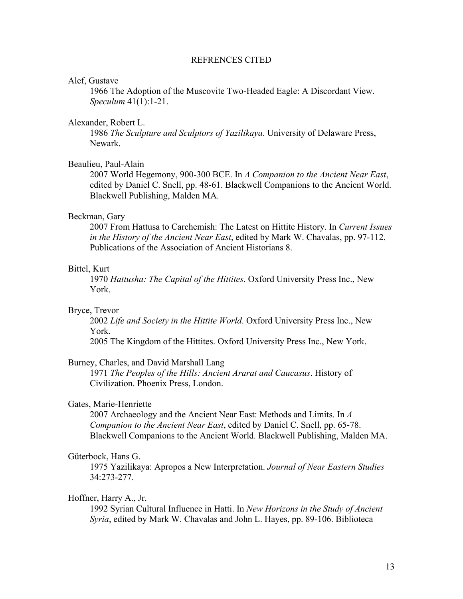### REFRENCES CITED

#### Alef, Gustave

1966 The Adoption of the Muscovite Two-Headed Eagle: A Discordant View. *Speculum* 41(1):1-21.

### Alexander, Robert L.

 1986 *The Sculpture and Sculptors of Yazilikaya*. University of Delaware Press, Newark.

### Beaulieu, Paul-Alain

 2007 World Hegemony, 900-300 BCE. In *A Companion to the Ancient Near East*, edited by Daniel C. Snell, pp. 48-61. Blackwell Companions to the Ancient World. Blackwell Publishing, Malden MA.

### Beckman, Gary

 2007 From Hattusa to Carchemish: The Latest on Hittite History. In *Current Issues in the History of the Ancient Near East*, edited by Mark W. Chavalas, pp. 97-112. Publications of the Association of Ancient Historians 8.

### Bittel, Kurt

 1970 *Hattusha: The Capital of the Hittites*. Oxford University Press Inc., New York.

### Bryce, Trevor

 2002 *Life and Society in the Hittite World*. Oxford University Press Inc., New York.

2005 The Kingdom of the Hittites. Oxford University Press Inc., New York.

#### Burney, Charles, and David Marshall Lang

 1971 *The Peoples of the Hills: Ancient Ararat and Caucasus*. History of Civilization. Phoenix Press, London.

### Gates, Marie-Henriette

 2007 Archaeology and the Ancient Near East: Methods and Limits. In *A Companion to the Ancient Near East*, edited by Daniel C. Snell, pp. 65-78. Blackwell Companions to the Ancient World. Blackwell Publishing, Malden MA.

#### Güterbock, Hans G.

 1975 Yazilikaya: Apropos a New Interpretation. *Journal of Near Eastern Studies* 34:273-277.

#### Hoffner, Harry A., Jr.

 1992 Syrian Cultural Influence in Hatti. In *New Horizons in the Study of Ancient Syria*, edited by Mark W. Chavalas and John L. Hayes, pp. 89-106. Biblioteca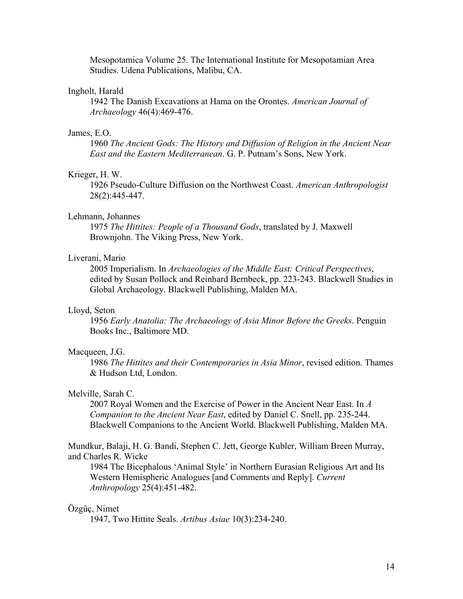Mesopotamica Volume 25. The International Institute for Mesopotamian Area Studies. Udena Publications, Malibu, CA.

# Ingholt, Harald

 1942 The Danish Excavations at Hama on the Orontes. *American Journal of Archaeology* 46(4):469-476.

#### James, E.O.

 1960 *The Ancient Gods: The History and Diffusion of Religion in the Ancient Near East and the Eastern Mediterranean*. G. P. Putnam's Sons, New York.

#### Krieger, H. W.

 1926 Pseudo-Culture Diffusion on the Northwest Coast. *American Anthropologist* 28(2):445-447.

# Lehmann, Johannes

 1975 *The Hittites: People of a Thousand Gods*, translated by J. Maxwell Brownjohn. The Viking Press, New York.

### Liverani, Mario

 2005 Imperialism. In *Archaeologies of the Middle East: Critical Perspectives*, edited by Susan Pollock and Reinhard Bernbeck, pp. 223-243. Blackwell Studies in Global Archaeology. Blackwell Publishing, Malden MA.

#### Lloyd, Seton

 1956 *Early Anatolia: The Archaeology of Asia Minor Before the Greeks*. Penguin Books Inc., Baltimore MD.

#### Macqueen, J.G.

 1986 *The Hittites and their Contemporaries in Asia Minor*, revised edition. Thames & Hudson Ltd, London.

### Melville, Sarah C.

 2007 Royal Women and the Exercise of Power in the Ancient Near East. In *A Companion to the Ancient Near East*, edited by Daniel C. Snell, pp. 235-244. Blackwell Companions to the Ancient World. Blackwell Publishing, Malden MA.

Mundkur, Balaji, H. G. Bandi, Stephen C. Jett, George Kubler, William Breen Murray, and Charles R. Wicke

 1984 The Bicephalous 'Animal Style' in Northern Eurasian Religious Art and Its Western Hemispheric Analogues [and Comments and Reply]. *Current Anthropology* 25(4):451-482.

#### Özgüç, Nimet

1947, Two Hittite Seals. *Artibus Asiae* 10(3):234-240.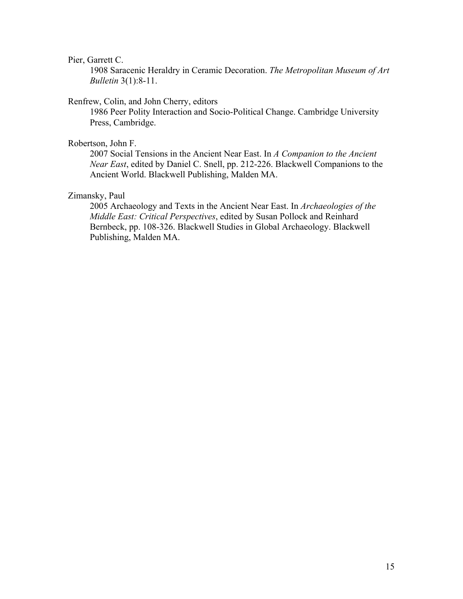#### Pier, Garrett C.

 1908 Saracenic Heraldry in Ceramic Decoration. *The Metropolitan Museum of Art Bulletin* 3(1):8-11.

### Renfrew, Colin, and John Cherry, editors

 1986 Peer Polity Interaction and Socio-Political Change. Cambridge University Press, Cambridge.

# Robertson, John F.

 2007 Social Tensions in the Ancient Near East. In *A Companion to the Ancient Near East*, edited by Daniel C. Snell, pp. 212-226. Blackwell Companions to the Ancient World. Blackwell Publishing, Malden MA.

# Zimansky, Paul

 2005 Archaeology and Texts in the Ancient Near East. In *Archaeologies of the Middle East: Critical Perspectives*, edited by Susan Pollock and Reinhard Bernbeck, pp. 108-326. Blackwell Studies in Global Archaeology. Blackwell Publishing, Malden MA.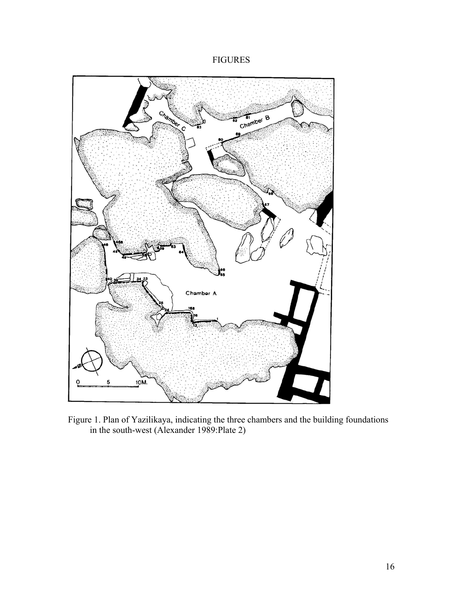



Figure 1. Plan of Yazilikaya, indicating the three chambers and the building foundations in the south-west (Alexander 1989:Plate 2)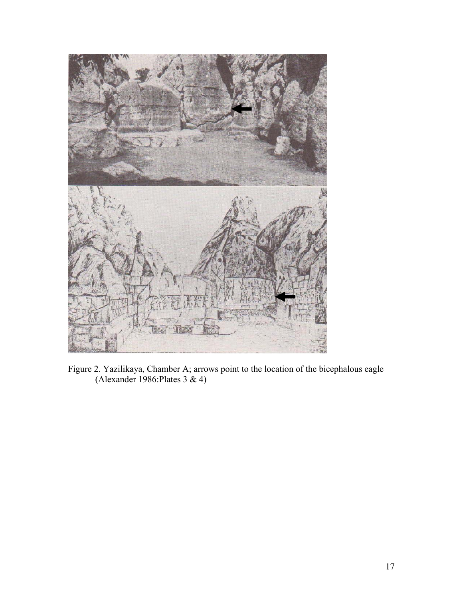

Figure 2. Yazilikaya, Chamber A; arrows point to the location of the bicephalous eagle (Alexander 1986:Plates 3 & 4)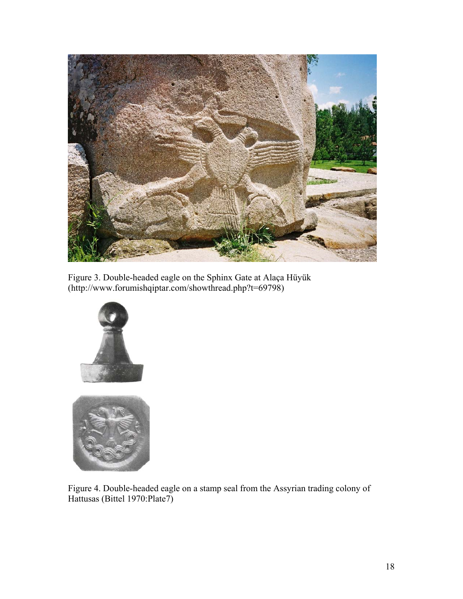

Figure 3. Double-headed eagle on the Sphinx Gate at Alaça Hüyük (http://www.forumishqiptar.com/showthread.php?t=69798)





Figure 4. Double-headed eagle on a stamp seal from the Assyrian trading colony of Hattusas (Bittel 1970:Plate7)